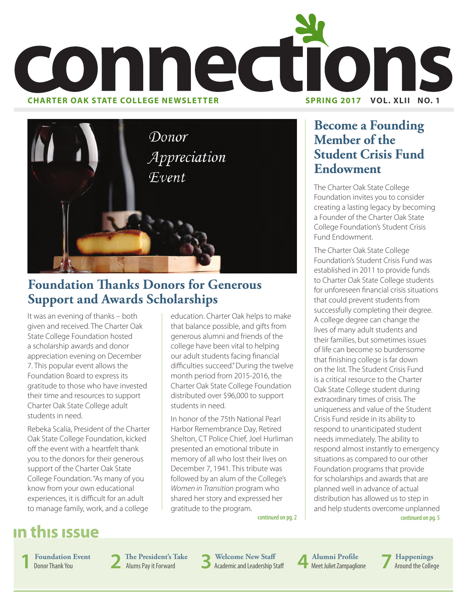



## **Foundation Thanks Donors for Generous Support and Awards Scholarships**

It was an evening of thanks – both given and received. The Charter Oak State College Foundation hosted a scholarship awards and donor appreciation evening on December 7. This popular event allows the Foundation Board to express its gratitude to those who have invested their time and resources to support Charter Oak State College adult students in need.

Rebeka Scalia, President of the Charter Oak State College Foundation, kicked off the event with a heartfelt thank you to the donors for their generous support of the Charter Oak State College Foundation. "As many of you know from your own educational experiences, it is difficult for an adult to manage family, work, and a college

education. Charter Oak helps to make that balance possible, and gifts from generous alumni and friends of the college have been vital to helping our adult students facing financial difficulties succeed." During the twelve month period from 2015-2016, the Charter Oak State College Foundation distributed over \$96,000 to support students in need.

In honor of the 75th National Pearl Harbor Remembrance Day, Retired Shelton, CT Police Chief, Joel Hurliman presented an emotional tribute in memory of all who lost their lives on December 7, 1941. This tribute was followed by an alum of the College's *Women in Transition* program who shared her story and expressed her gratitude to the program.

## **Become a Founding Member of the Student Crisis Fund Endowment**

The Charter Oak State College Foundation invites you to consider creating a lasting legacy by becoming a Founder of the Charter Oak State College Foundation's Student Crisis Fund Endowment.

continued on pg. 5 The Charter Oak State College Foundation's Student Crisis Fund was established in 2011 to provide funds to Charter Oak State College students for unforeseen financial crisis situations that could prevent students from successfully completing their degree. A college degree can change the lives of many adult students and their families, but sometimes issues of life can become so burdensome that finishing college is far down on the list. The Student Crisis Fund is a critical resource to the Charter Oak State College student during extraordinary times of crisis. The uniqueness and value of the Student Crisis Fund reside in its ability to respond to unanticipated student needs immediately. The ability to respond almost instantly to emergency situations as compared to our other Foundation programs that provide for scholarships and awards that are planned well in advance of actual distribution has allowed us to step in and help students overcome unplanned

continued on pg. 2

## in this issue

**1 Foundation Event**<br>Donor Thank You

**The President's Take**<br>Alums Pay it Forward

Alums Pay it Forward **3 Welcome New Staff** Academic and Leadership Staff **4 Alumni Profile**

**Alumni Profile**<br>Meet Juliet Zampaglione<br>**7** Around the Collection

Around the College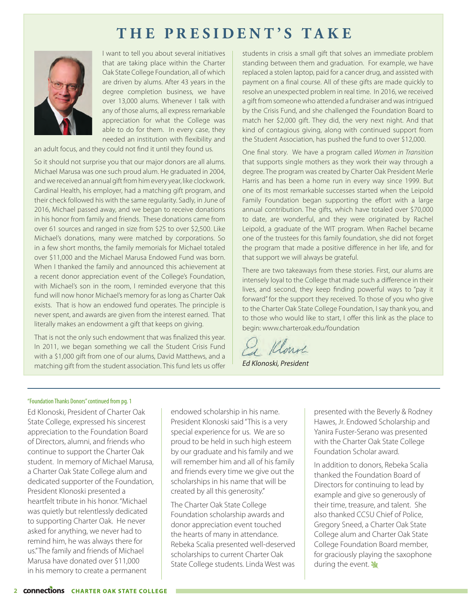## **THE PRESIDENT'S TAKE**



I want to tell you about several initiatives that are taking place within the Charter Oak State College Foundation, all of which are driven by alums. After 43 years in the degree completion business, we have over 13,000 alums. Whenever I talk with any of those alums, all express remarkable appreciation for what the College was able to do for them. In every case, they needed an institution with flexibility and

an adult focus, and they could not find it until they found us.

So it should not surprise you that our major donors are all alums. Michael Marusa was one such proud alum. He graduated in 2004, and we received an annual gift from him every year, like clockwork. Cardinal Health, his employer, had a matching gift program, and their check followed his with the same regularity. Sadly, in June of 2016, Michael passed away, and we began to receive donations in his honor from family and friends. These donations came from over 61 sources and ranged in size from \$25 to over \$2,500. Like Michael's donations, many were matched by corporations. So in a few short months, the family memorials for Michael totaled over \$11,000 and the Michael Marusa Endowed Fund was born. When I thanked the family and announced this achievement at a recent donor appreciation event of the College's Foundation, with Michael's son in the room, I reminded everyone that this fund will now honor Michael's memory for as long as Charter Oak exists. That is how an endowed fund operates. The principle is never spent, and awards are given from the interest earned. That literally makes an endowment a gift that keeps on giving.

That is not the only such endowment that was finalized this year. In 2011, we began something we call the Student Crisis Fund with a \$1,000 gift from one of our alums, David Matthews, and a matching gift from the student association. This fund lets us offer students in crisis a small gift that solves an immediate problem standing between them and graduation. For example, we have replaced a stolen laptop, paid for a cancer drug, and assisted with payment on a final course. All of these gifts are made quickly to resolve an unexpected problem in real time. In 2016, we received a gift from someone who attended a fundraiser and was intrigued by the Crisis Fund, and she challenged the Foundation Board to match her \$2,000 gift. They did, the very next night. And that kind of contagious giving, along with continued support from the Student Association, has pushed the fund to over \$12,000.

One final story. We have a program called *Women in Transition*  that supports single mothers as they work their way through a degree. The program was created by Charter Oak President Merle Harris and has been a home run in every way since 1999. But one of its most remarkable successes started when the Leipold Family Foundation began supporting the effort with a large annual contribution. The gifts, which have totaled over \$70,000 to date, are wonderful, and they were originated by Rachel Leipold, a graduate of the WIT program. When Rachel became one of the trustees for this family foundation, she did not forget the program that made a positive difference in her life, and for that support we will always be grateful.

There are two takeaways from these stories. First, our alums are intensely loyal to the College that made such a difference in their lives, and second, they keep finding powerful ways to "pay it forward" for the support they received. To those of you who give to the Charter Oak State College Foundation, I say thank you, and to those who would like to start, I offer this link as the place to begin: www.charteroak.edu/foundation

Ea Klars

*Ed Klonoski, President*

#### "Foundation Thanks Donors" continued from pg. 1

Ed Klonoski, President of Charter Oak State College, expressed his sincerest appreciation to the Foundation Board of Directors, alumni, and friends who continue to support the Charter Oak student. In memory of Michael Marusa, a Charter Oak State College alum and dedicated supporter of the Foundation, President Klonoski presented a heartfelt tribute in his honor. "Michael was quietly but relentlessly dedicated to supporting Charter Oak. He never asked for anything, we never had to remind him, he was always there for us." The family and friends of Michael Marusa have donated over \$11,000 in his memory to create a permanent

endowed scholarship in his name. President Klonoski said "This is a very special experience for us. We are so proud to be held in such high esteem by our graduate and his family and we will remember him and all of his family and friends every time we give out the scholarships in his name that will be created by all this generosity."

The Charter Oak State College Foundation scholarship awards and donor appreciation event touched the hearts of many in attendance. Rebeka Scalia presented well-deserved scholarships to current Charter Oak State College students. Linda West was

presented with the Beverly & Rodney Hawes, Jr. Endowed Scholarship and Yanira Fuster-Serano was presented with the Charter Oak State College Foundation Scholar award.

In addition to donors, Rebeka Scalia thanked the Foundation Board of Directors for continuing to lead by example and give so generously of their time, treasure, and talent. She also thanked CCSU Chief of Police, Gregory Sneed, a Charter Oak State College alum and Charter Oak State College Foundation Board member, for graciously playing the saxophone during the event. Y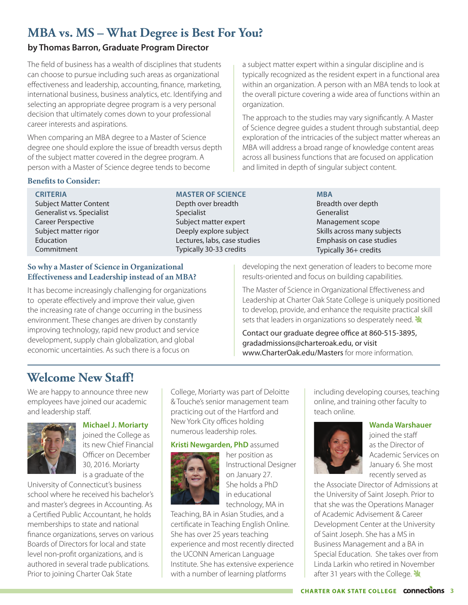## **MBA vs. MS – What Degree is Best For You?**

#### **by Thomas Barron, Graduate Program Director**

The field of business has a wealth of disciplines that students can choose to pursue including such areas as organizational effectiveness and leadership, accounting, finance, marketing, international business, business analytics, etc. Identifying and selecting an appropriate degree program is a very personal decision that ultimately comes down to your professional career interests and aspirations.

When comparing an MBA degree to a Master of Science degree one should explore the issue of breadth versus depth of the subject matter covered in the degree program. A person with a Master of Science degree tends to become

#### **Benefits to Consider:**

**CRITERIA** Subject Matter Content Generalist vs. Specialist Career Perspective Subject matter rigor **Education** Commitment

#### **So why a Master of Science in Organizational Effectiveness and Leadership instead of an MBA?**

It has become increasingly challenging for organizations to operate effectively and improve their value, given the increasing rate of change occurring in the business environment. These changes are driven by constantly improving technology, rapid new product and service development, supply chain globalization, and global economic uncertainties. As such there is a focus on

a subject matter expert within a singular discipline and is typically recognized as the resident expert in a functional area within an organization. A person with an MBA tends to look at the overall picture covering a wide area of functions within an organization.

The approach to the studies may vary significantly. A Master of Science degree guides a student through substantial, deep exploration of the intricacies of the subject matter whereas an MBA will address a broad range of knowledge content areas across all business functions that are focused on application and limited in depth of singular subject content.

> **MBA** Breadth over depth **Generalist** Management scope Skills across many subjects Emphasis on case studies Typically 36+ credits

developing the next generation of leaders to become more results-oriented and focus on building capabilities.

The Master of Science in Organizational Effectiveness and Leadership at Charter Oak State College is uniquely positioned to develop, provide, and enhance the requisite practical skill sets that leaders in organizations so desperately need.

Contact our graduate degree office at 860-515-3895, gradadmissions@charteroak.edu, or visit www.CharterOak.edu/Masters for more information.

## **Welcome New Staff!**

We are happy to announce three new employees have joined our academic and leadership staff.



#### **Michael J. Moriarty** joined the College as its new Chief Financial

Officer on December 30, 2016. Moriarty is a graduate of the

University of Connecticut's business school where he received his bachelor's and master's degrees in Accounting. As a Certified Public Accountant, he holds memberships to state and national finance organizations, serves on various Boards of Directors for local and state level non-profit organizations, and is authored in several trade publications. Prior to joining Charter Oak State

College, Moriarty was part of Deloitte & Touche's senior management team practicing out of the Hartford and New York City offices holding numerous leadership roles.

#### **Kristi Newgarden, PhD** assumed

**MASTER OF SCIENCE** Depth over breadth

Subject matter expert Deeply explore subject Lectures, labs, case studies Typically 30-33 credits

Specialist



her position as Instructional Designer on January 27. She holds a PhD in educational technology, MA in

Teaching, BA in Asian Studies, and a certificate in Teaching English Online. She has over 25 years teaching experience and most recently directed the UCONN American Language Institute. She has extensive experience with a number of learning platforms

including developing courses, teaching online, and training other faculty to teach online.



**Wanda Warshauer** joined the staff as the Director of Academic Services on January 6. She most

recently served as

the Associate Director of Admissions at the University of Saint Joseph. Prior to that she was the Operations Manager of Academic Advisement & Career Development Center at the University of Saint Joseph. She has a MS in Business Management and a BA in Special Education. She takes over from Linda Larkin who retired in November after 31 years with the College.  $\mathbf{\mathbf{\mathbf{\mathcal{Y}}}}$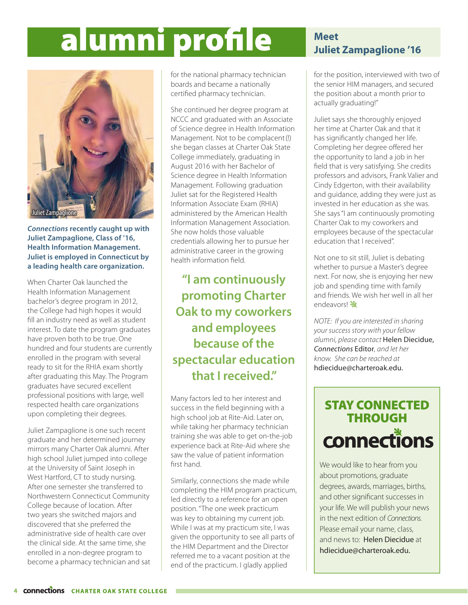# alumni profile **Meet**



*Connections* **recently caught up with Juliet Zampaglione, Class of '16, Health Information Management. Juliet is employed in Connecticut by a leading health care organization.** 

When Charter Oak launched the Health Information Management bachelor's degree program in 2012, the College had high hopes it would fill an industry need as well as student interest. To date the program graduates have proven both to be true. One hundred and four students are currently enrolled in the program with several ready to sit for the RHIA exam shortly after graduating this May. The Program graduates have secured excellent professional positions with large, well respected health care organizations upon completing their degrees.

Juliet Zampaglione is one such recent graduate and her determined journey mirrors many Charter Oak alumni. After high school Juliet jumped into college at the University of Saint Joseph in West Hartford, CT to study nursing. After one semester she transferred to Northwestern Connecticut Community College because of location. After two years she switched majors and discovered that she preferred the administrative side of health care over the clinical side. At the same time, she enrolled in a non-degree program to become a pharmacy technician and sat for the national pharmacy technician boards and became a nationally certified pharmacy technician.

She continued her degree program at NCCC and graduated with an Associate of Science degree in Health Information Management. Not to be complacent (!) she began classes at Charter Oak State College immediately, graduating in August 2016 with her Bachelor of Science degree in Health Information Management. Following graduation Juliet sat for the Registered Health Information Associate Exam (RHIA) administered by the American Health Information Management Association. She now holds those valuable credentials allowing her to pursue her administrative career in the growing health information field.

**"I am continuously promoting Charter Oak to my coworkers and employees because of the spectacular education that I received."**

Many factors led to her interest and success in the field beginning with a high school job at Rite-Aid. Later on, while taking her pharmacy technician training she was able to get on-the-job experience back at Rite-Aid where she saw the value of patient information first hand.

Similarly, connections she made while completing the HIM program practicum, led directly to a reference for an open position. "The one week practicum was key to obtaining my current job. While I was at my practicum site, I was given the opportunity to see all parts of the HIM Department and the Director referred me to a vacant position at the end of the practicum. I gladly applied

## **Juliet Zampaglione '16**

for the position, interviewed with two of the senior HIM managers, and secured the position about a month prior to actually graduating!"

Juliet says she thoroughly enjoyed her time at Charter Oak and that it has significantly changed her life. Completing her degree offered her the opportunity to land a job in her field that is very satisfying. She credits professors and advisors, Frank Valier and Cindy Edgerton, with their availability and guidance, adding they were just as invested in her education as she was. She says "I am continuously promoting Charter Oak to my coworkers and employees because of the spectacular education that I received".

Not one to sit still, Juliet is debating whether to pursue a Master's degree next. For now, she is enjoying her new job and spending time with family and friends. We wish her well in all her endeavors!

*NOTE: If you are interested in sharing your success story with your fellow alumni, please contact* Helen Diecidue, *Connections* Editor*, and let her know. She can be reached at*  hdiecidue@charteroak.edu.

## STAY CONNECTED THROUGH connections

We would like to hear from you about promotions, graduate degrees, awards, marriages, births, and other significant successes in your life. We will publish your news in the next edition of *Connections*. Please email your name, class, and news to: Helen Diecidue at hdiecidue@charteroak.edu.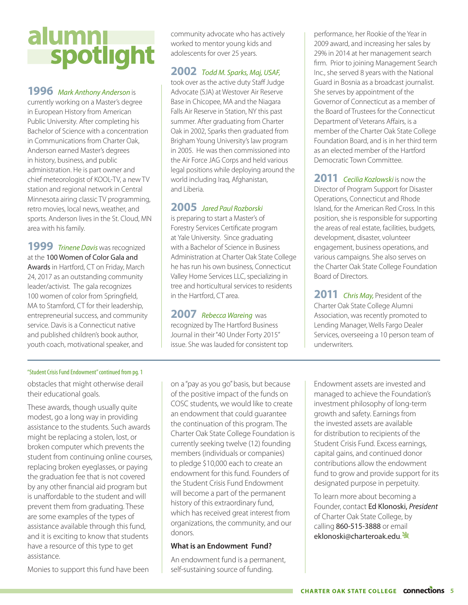# alumni<br>Spotlight

#### **1996** *Mark Anthony Anderson* is

currently working on a Master's degree in European History from American Public University. After completing his Bachelor of Science with a concentration in Communications from Charter Oak, Anderson earned Master's degrees in history, business, and public administration. He is part owner and chief meteorologist of KOOL-TV, a new TV station and regional network in Central Minnesota airing classic TV programming, retro movies, local news, weather, and sports. Anderson lives in the St. Cloud, MN area with his family.

**1999** *Trinene Davis* was recognized at the 100 Women of Color Gala and Awards in Hartford, CT on Friday, March 24, 2017 as an outstanding community leader/activist. The gala recognizes 100 women of color from Springfield, MA to Stamford, CT for their leadership, entrepreneurial success, and community service. Davis is a Connecticut native and published children's book author, youth coach, motivational speaker, and

community advocate who has actively worked to mentor young kids and adolescents for over 25 years.

#### **2002** *Todd M. Sparks, Maj, USAF,*

took over as the active duty Staff Judge Advocate (SJA) at Westover Air Reserve Base in Chicopee, MA and the Niagara Falls Air Reserve in Station, NY this past summer. After graduating from Charter Oak in 2002, Sparks then graduated from Brigham Young University's law program in 2005. He was then commissioned into the Air Force JAG Corps and held various legal positions while deploying around the world including Iraq, Afghanistan, and Liberia.

#### **2005** *Jared Paul Rozborski*

is preparing to start a Master's of Forestry Services Certificate program at Yale University. Since graduating with a Bachelor of Science in Business Administration at Charter Oak State College he has run his own business, Connecticut Valley Home Services LLC, specializing in tree and horticultural services to residents in the Hartford, CT area.

**2007** *Rebecca Wareing* was recognized by The Hartford Business Journal in their "40 Under Forty 2015" issue. She was lauded for consistent top

performance, her Rookie of the Year in 2009 award, and increasing her sales by 29% in 2014 at her management search firm. Prior to joining Management Search Inc., she served 8 years with the National Guard in Bosnia as a broadcast journalist. She serves by appointment of the Governor of Connecticut as a member of the Board of Trustees for the Connecticut Department of Veterans Affairs, is a member of the Charter Oak State College Foundation Board, and is in her third term as an elected member of the Hartford Democratic Town Committee.

**2011** *Cecilia Kozlowski* is now the Director of Program Support for Disaster Operations, Connecticut and Rhode Island, for the American Red Cross. In this position, she is responsible for supporting the areas of real estate, facilities, budgets, development, disaster, volunteer engagement, business operations, and various campaigns. She also serves on the Charter Oak State College Foundation Board of Directors.

**2011** *Chris May,* President of the Charter Oak State College Alumni Association, was recently promoted to Lending Manager, Wells Fargo Dealer Services, overseeing a 10 person team of underwriters.

#### "Student Crisis Fund Endowment" continued from pg. 1

obstacles that might otherwise derail their educational goals.

These awards, though usually quite modest, go a long way in providing assistance to the students. Such awards might be replacing a stolen, lost, or broken computer which prevents the student from continuing online courses, replacing broken eyeglasses, or paying the graduation fee that is not covered by any other financial aid program but is unaffordable to the student and will prevent them from graduating. These are some examples of the types of assistance available through this fund, and it is exciting to know that students have a resource of this type to get assistance.

Monies to support this fund have been

on a "pay as you go" basis, but because of the positive impact of the funds on COSC students, we would like to create an endowment that could guarantee the continuation of this program. The Charter Oak State College Foundation is currently seeking twelve (12) founding members (individuals or companies) to pledge \$10,000 each to create an endowment for this fund. Founders of the Student Crisis Fund Endowment will become a part of the permanent history of this extraordinary fund, which has received great interest from organizations, the community, and our donors.

#### **What is an Endowment Fund?**

An endowment fund is a permanent, self-sustaining source of funding.

Endowment assets are invested and managed to achieve the Foundation's investment philosophy of long-term growth and safety. Earnings from the invested assets are available for distribution to recipients of the Student Crisis Fund. Excess earnings, capital gains, and continued donor contributions allow the endowment fund to grow and provide support for its designated purpose in perpetuity.

To learn more about becoming a Founder, contact Ed Klonoski, *President*  of Charter Oak State College, by calling 860-515-3888 or email eklonoski@charteroak.edu.<sup></></sup>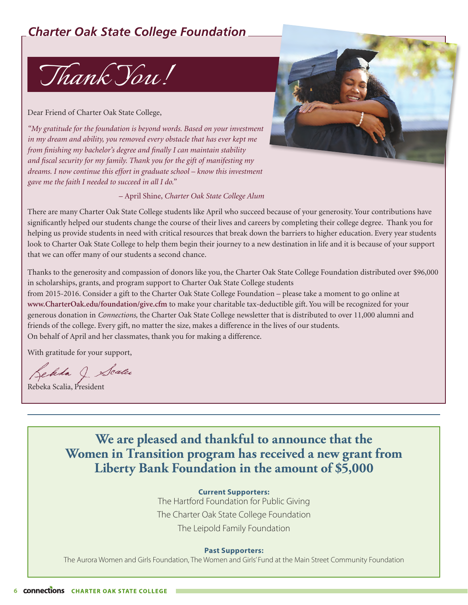## *Charter Oak State College Foundation*



Dear Friend of Charter Oak State College,

*"My gratitude for the foundation is beyond words. Based on your investment in my dream and ability, you removed every obstacle that has ever kept me from finishing my bachelor's degree and finally I can maintain stability and fiscal security for my family. Thank you for the gift of manifesting my dreams. I now continue this effort in graduate school – know this investment gave me the faith I needed to succeed in all I do."*



– April Shine, *Charter Oak State College Alum*

There are many Charter Oak State College students like April who succeed because of your generosity. Your contributions have significantly helped our students change the course of their lives and careers by completing their college degree. Thank you for helping us provide students in need with critical resources that break down the barriers to higher education. Every year students look to Charter Oak State College to help them begin their journey to a new destination in life and it is because of your support that we can offer many of our students a second chance.

Thanks to the generosity and compassion of donors like you, the Charter Oak State College Foundation distributed over \$96,000 in scholarships, grants, and program support to Charter Oak State College students

from 2015-2016. Consider a gift to the Charter Oak State College Foundation – please take a moment to go online at **www.CharterOak.edu/foundation/give.cfm** to make your charitable tax-deductible gift. You will be recognized for your generous donation in *Connections,* the Charter Oak State College newsletter that is distributed to over 11,000 alumni and friends of the college. Every gift, no matter the size, makes a difference in the lives of our students. On behalf of April and her classmates, thank you for making a difference.

With gratitude for your support,

Rebela J Scalu

Rebeka Scalia, President

**We are pleased and thankful to announce that the Women in Transition program has received a new grant from Liberty Bank Foundation in the amount of \$5,000**

**Current Supporters:**

The Hartford Foundation for Public Giving The Charter Oak State College Foundation The Leipold Family Foundation

#### **Past Supporters:**

The Aurora Women and Girls Foundation, The Women and Girls' Fund at the Main Street Community Foundation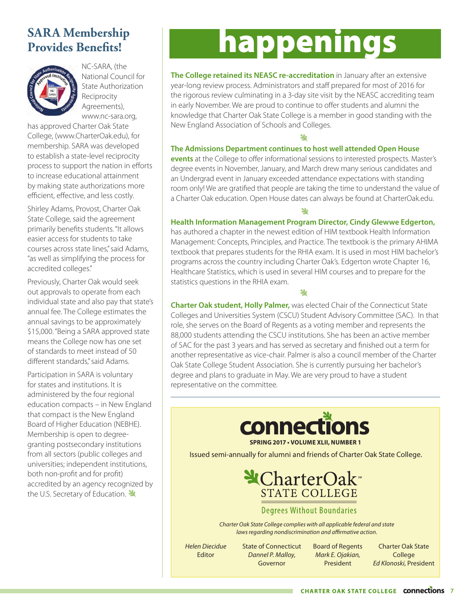## **SARA Membership Provides Benefits!**



NC-SARA, (the National Council for State Authorization Reciprocity Agreements), www.nc-sara.org,

has approved Charter Oak State College, (www.CharterOak.edu), for membership. SARA was developed to establish a state-level reciprocity process to support the nation in efforts to increase educational attainment by making state authorizations more efficient, effective, and less costly.

Shirley Adams, Provost, Charter Oak State College, said the agreement primarily benefits students. "It allows easier access for students to take courses across state lines," said Adams, "as well as simplifying the process for accredited colleges."

Previously, Charter Oak would seek out approvals to operate from each individual state and also pay that state's annual fee. The College estimates the annual savings to be approximately \$15,000. "Being a SARA approved state means the College now has one set of standards to meet instead of 50 different standards," said Adams.

Participation in SARA is voluntary for states and institutions. It is administered by the four regional education compacts – in New England that compact is the New England Board of Higher Education (NEBHE). Membership is open to degreegranting postsecondary institutions from all sectors (public colleges and universities; independent institutions, both non-profit and for profit) accredited by an agency recognized by the U.S. Secretary of Education.

## happenings

**The College retained its NEASC re-accreditation** in January after an extensive year-long review process. Administrators and staff prepared for most of 2016 for the rigorous review culminating in a 3-day site visit by the NEASC accrediting team in early November. We are proud to continue to offer students and alumni the knowledge that Charter Oak State College is a member in good standing with the New England Association of Schools and Colleges.

#### **The Admissions Department continues to host well attended Open House**

**events** at the College to offer informational sessions to interested prospects. Master's degree events in November, January, and March drew many serious candidates and an Undergrad event in January exceeded attendance expectations with standing room only! We are gratified that people are taking the time to understand the value of a Charter Oak education. Open House dates can always be found at CharterOak.edu.

ىلا

#### **Health Information Management Program Director, Cindy Glewwe Edgerton,**

has authored a chapter in the newest edition of HIM textbook Health Information Management: Concepts, Principles, and Practice. The textbook is the primary AHIMA textbook that prepares students for the RHIA exam. It is used in most HIM bachelor's programs across the country including Charter Oak's. Edgerton wrote Chapter 16, Healthcare Statistics, which is used in several HIM courses and to prepare for the statistics questions in the RHIA exam.

**الا** 

**Charter Oak student, Holly Palmer,** was elected Chair of the Connecticut State Colleges and Universities System (CSCU) Student Advisory Committee (SAC). In that role, she serves on the Board of Regents as a voting member and represents the 88,000 students attending the CSCU institutions. She has been an active member of SAC for the past 3 years and has served as secretary and finished out a term for another representative as vice-chair. Palmer is also a council member of the Charter Oak State College Student Association. She is currently pursuing her bachelor's degree and plans to graduate in May. We are very proud to have a student representative on the committee.



**SPRING 2017 • VOLUME XLII, NUMBER 1**

Issued semi-annually for alumni and friends of Charter Oak State College.



#### **Degrees Without Boundaries**

*Charter Oak State College complies with all applicable federal and state laws regarding nondiscrimination and affirmative action.*

*Helen Diecidue* Editor

State of Connecticut *Dannel P. Malloy*, Governor

Board of Regents *Mark E. Ojakian,* President

Charter Oak State College *Ed Klonoski*, President